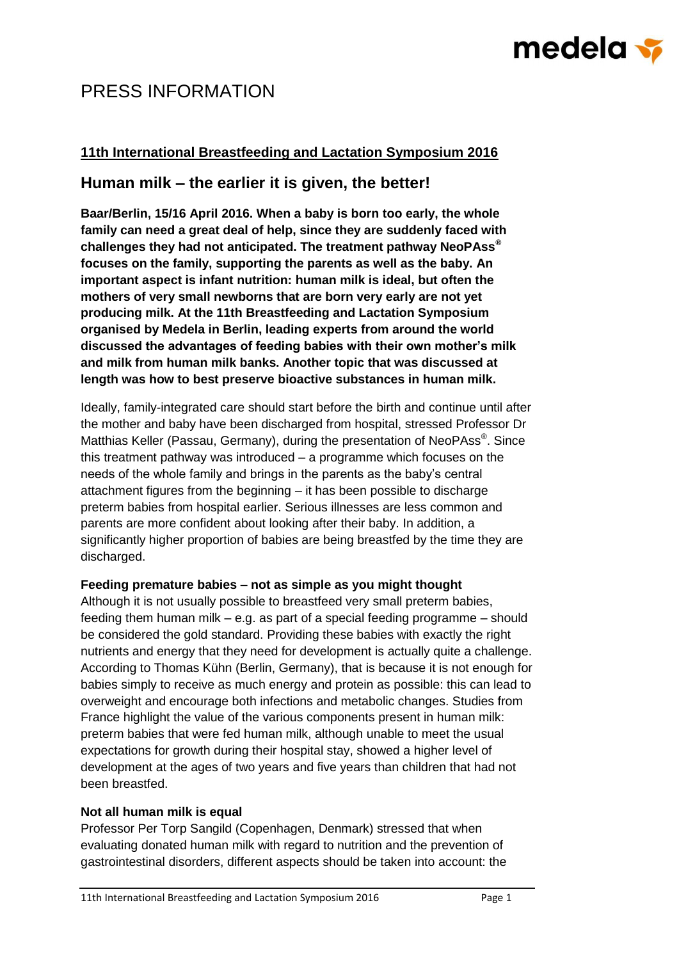# medela <del>v</del>

## PRESS INFORMATION

### **11th International Breastfeeding and Lactation Symposium 2016**

### **Human milk – the earlier it is given, the better!**

**Baar/Berlin, 15/16 April 2016. When a baby is born too early, the whole family can need a great deal of help, since they are suddenly faced with challenges they had not anticipated. The treatment pathway NeoPAss® focuses on the family, supporting the parents as well as the baby. An important aspect is infant nutrition: human milk is ideal, but often the mothers of very small newborns that are born very early are not yet producing milk. At the 11th Breastfeeding and Lactation Symposium organised by Medela in Berlin, leading experts from around the world discussed the advantages of feeding babies with their own mother's milk and milk from human milk banks. Another topic that was discussed at length was how to best preserve bioactive substances in human milk.**

Ideally, family-integrated care should start before the birth and continue until after the mother and baby have been discharged from hospital, stressed Professor Dr Matthias Keller (Passau, Germany), during the presentation of NeoPAss®. Since this treatment pathway was introduced – a programme which focuses on the needs of the whole family and brings in the parents as the baby's central attachment figures from the beginning – it has been possible to discharge preterm babies from hospital earlier. Serious illnesses are less common and parents are more confident about looking after their baby. In addition, a significantly higher proportion of babies are being breastfed by the time they are discharged.

#### **Feeding premature babies – not as simple as you might thought**

Although it is not usually possible to breastfeed very small preterm babies, feeding them human milk – e.g. as part of a special feeding programme – should be considered the gold standard. Providing these babies with exactly the right nutrients and energy that they need for development is actually quite a challenge. According to Thomas Kühn (Berlin, Germany), that is because it is not enough for babies simply to receive as much energy and protein as possible: this can lead to overweight and encourage both infections and metabolic changes. Studies from France highlight the value of the various components present in human milk: preterm babies that were fed human milk, although unable to meet the usual expectations for growth during their hospital stay, showed a higher level of development at the ages of two years and five years than children that had not been breastfed.

#### **Not all human milk is equal**

Professor Per Torp Sangild (Copenhagen, Denmark) stressed that when evaluating donated human milk with regard to nutrition and the prevention of gastrointestinal disorders, different aspects should be taken into account: the